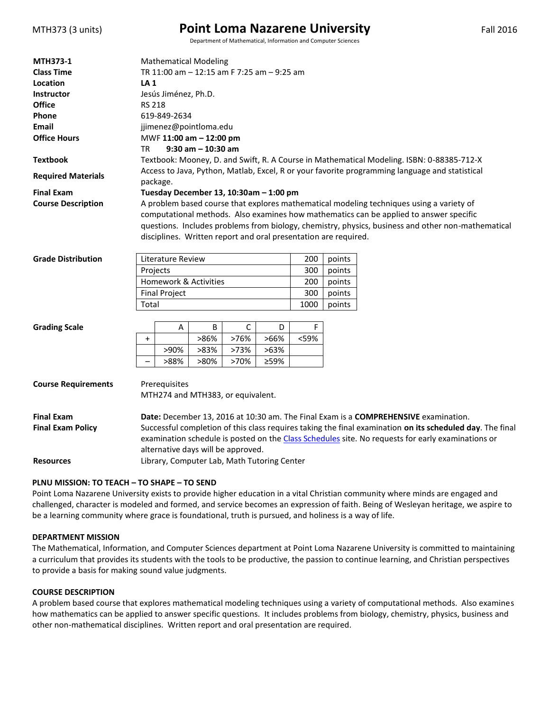| MTH373 (3 units) |  |
|------------------|--|
|------------------|--|

## **Point Loma Nazarene University** Fall 2016

Department of Mathematical, Information and Computer Sciences

| <b>MTH373-1</b>            | <b>Mathematical Modeling</b>                                                                               |                                    |      |      |                                                                 |      |        |                                                                                                    |  |
|----------------------------|------------------------------------------------------------------------------------------------------------|------------------------------------|------|------|-----------------------------------------------------------------|------|--------|----------------------------------------------------------------------------------------------------|--|
| <b>Class Time</b>          | TR 11:00 am - 12:15 am F 7:25 am - 9:25 am                                                                 |                                    |      |      |                                                                 |      |        |                                                                                                    |  |
| Location                   | LA <sub>1</sub>                                                                                            |                                    |      |      |                                                                 |      |        |                                                                                                    |  |
| <b>Instructor</b>          | Jesús Jiménez, Ph.D.                                                                                       |                                    |      |      |                                                                 |      |        |                                                                                                    |  |
| <b>Office</b>              | <b>RS 218</b>                                                                                              |                                    |      |      |                                                                 |      |        |                                                                                                    |  |
| Phone                      | 619-849-2634                                                                                               |                                    |      |      |                                                                 |      |        |                                                                                                    |  |
| Email                      | jjimenez@pointloma.edu                                                                                     |                                    |      |      |                                                                 |      |        |                                                                                                    |  |
| <b>Office Hours</b>        | MWF 11:00 am - 12:00 pm                                                                                    |                                    |      |      |                                                                 |      |        |                                                                                                    |  |
|                            | $9:30$ am $-10:30$ am<br>TR                                                                                |                                    |      |      |                                                                 |      |        |                                                                                                    |  |
| <b>Textbook</b>            | Textbook: Mooney, D. and Swift, R. A Course in Mathematical Modeling. ISBN: 0-88385-712-X                  |                                    |      |      |                                                                 |      |        |                                                                                                    |  |
| <b>Required Materials</b>  | Access to Java, Python, Matlab, Excel, R or your favorite programming language and statistical<br>package. |                                    |      |      |                                                                 |      |        |                                                                                                    |  |
| <b>Final Exam</b>          | Tuesday December 13, 10:30am - 1:00 pm                                                                     |                                    |      |      |                                                                 |      |        |                                                                                                    |  |
| <b>Course Description</b>  | A problem based course that explores mathematical modeling techniques using a variety of                   |                                    |      |      |                                                                 |      |        |                                                                                                    |  |
|                            |                                                                                                            |                                    |      |      |                                                                 |      |        | computational methods. Also examines how mathematics can be applied to answer specific             |  |
|                            |                                                                                                            |                                    |      |      |                                                                 |      |        | questions. Includes problems from biology, chemistry, physics, business and other non-mathematical |  |
|                            |                                                                                                            |                                    |      |      | disciplines. Written report and oral presentation are required. |      |        |                                                                                                    |  |
|                            |                                                                                                            |                                    |      |      |                                                                 |      |        |                                                                                                    |  |
| <b>Grade Distribution</b>  |                                                                                                            | Literature Review                  |      |      |                                                                 | 200  | points |                                                                                                    |  |
|                            | Projects                                                                                                   |                                    |      |      |                                                                 | 300  | points |                                                                                                    |  |
|                            | Homework & Activities                                                                                      |                                    |      |      |                                                                 | 200  | points |                                                                                                    |  |
|                            | <b>Final Project</b>                                                                                       |                                    |      |      |                                                                 | 300  | points |                                                                                                    |  |
|                            | Total                                                                                                      |                                    |      |      |                                                                 | 1000 | points |                                                                                                    |  |
|                            |                                                                                                            |                                    |      |      |                                                                 |      |        |                                                                                                    |  |
| <b>Grading Scale</b>       |                                                                                                            | Α                                  | B    | С    | D                                                               | F    |        |                                                                                                    |  |
|                            | $\ddot{}$                                                                                                  |                                    | >86% | >76% | >66%                                                            | <59% |        |                                                                                                    |  |
|                            |                                                                                                            | >90%                               | >83% | >73% | >63%                                                            |      |        |                                                                                                    |  |
|                            |                                                                                                            | >88%                               | >80% | >70% | ≥59%                                                            |      |        |                                                                                                    |  |
|                            |                                                                                                            |                                    |      |      |                                                                 |      |        |                                                                                                    |  |
| <b>Course Requirements</b> |                                                                                                            | Prerequisites                      |      |      |                                                                 |      |        |                                                                                                    |  |
|                            |                                                                                                            | MTH274 and MTH383, or equivalent.  |      |      |                                                                 |      |        |                                                                                                    |  |
|                            |                                                                                                            |                                    |      |      |                                                                 |      |        |                                                                                                    |  |
| <b>Final Exam</b>          |                                                                                                            |                                    |      |      |                                                                 |      |        | Date: December 13, 2016 at 10:30 am. The Final Exam is a COMPREHENSIVE examination.                |  |
| <b>Final Exam Policy</b>   | Successful completion of this class requires taking the final examination on its scheduled day. The final  |                                    |      |      |                                                                 |      |        |                                                                                                    |  |
|                            |                                                                                                            |                                    |      |      |                                                                 |      |        | examination schedule is posted on the Class Schedules site. No requests for early examinations or  |  |
|                            |                                                                                                            | alternative days will be approved. |      |      |                                                                 |      |        |                                                                                                    |  |
| <b>Resources</b>           | Library, Computer Lab, Math Tutoring Center                                                                |                                    |      |      |                                                                 |      |        |                                                                                                    |  |
|                            |                                                                                                            |                                    |      |      |                                                                 |      |        |                                                                                                    |  |

#### **PLNU MISSION: TO TEACH – TO SHAPE – TO SEND**

Point Loma Nazarene University exists to provide higher education in a vital Christian community where minds are engaged and challenged, character is modeled and formed, and service becomes an expression of faith. Being of Wesleyan heritage, we aspire to be a learning community where grace is foundational, truth is pursued, and holiness is a way of life.

#### **DEPARTMENT MISSION**

The Mathematical, Information, and Computer Sciences department at Point Loma Nazarene University is committed to maintaining a curriculum that provides its students with the tools to be productive, the passion to continue learning, and Christian perspectives to provide a basis for making sound value judgments.

#### **COURSE DESCRIPTION**

A problem based course that explores mathematical modeling techniques using a variety of computational methods. Also examines how mathematics can be applied to answer specific questions. It includes problems from biology, chemistry, physics, business and other non-mathematical disciplines. Written report and oral presentation are required.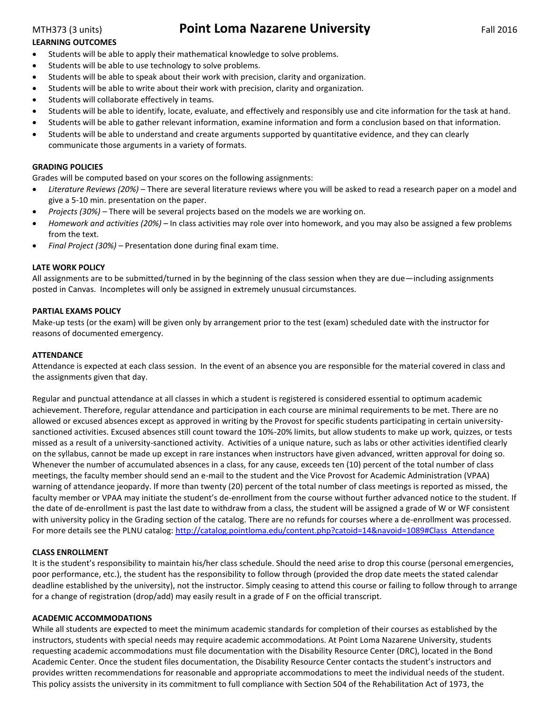## MTH373 (3 units) **Point Loma Nazarene University** Fall 2016

### **LEARNING OUTCOMES**

- **•** Students will be able to apply their mathematical knowledge to solve problems.
- Students will be able to use technology to solve problems.
- Students will be able to speak about their work with precision, clarity and organization.
- Students will be able to write about their work with precision, clarity and organization.
- Students will collaborate effectively in teams.
- Students will be able to identify, locate, evaluate, and effectively and responsibly use and cite information for the task at hand.
- Students will be able to gather relevant information, examine information and form a conclusion based on that information.
- Students will be able to understand and create arguments supported by quantitative evidence, and they can clearly communicate those arguments in a variety of formats.

### **GRADING POLICIES**

Grades will be computed based on your scores on the following assignments:

- *Literature Reviews (20%)* There are several literature reviews where you will be asked to read a research paper on a model and give a 5-10 min. presentation on the paper.
- *Projects (30%) –* There will be several projects based on the models we are working on.
- *Homework and activities (20%) –* In class activities may role over into homework, and you may also be assigned a few problems from the text.
- *Final Project (30%) –* Presentation done during final exam time.

#### **LATE WORK POLICY**

All assignments are to be submitted/turned in by the beginning of the class session when they are due—including assignments posted in Canvas. Incompletes will only be assigned in extremely unusual circumstances.

#### **PARTIAL EXAMS POLICY**

Make-up tests (or the exam) will be given only by arrangement prior to the test (exam) scheduled date with the instructor for reasons of documented emergency.

#### **ATTENDANCE**

Attendance is expected at each class session. In the event of an absence you are responsible for the material covered in class and the assignments given that day.

Regular and punctual attendance at all classes in which a student is registered is considered essential to optimum academic achievement. Therefore, regular attendance and participation in each course are minimal requirements to be met. There are no allowed or excused absences except as approved in writing by the Provost for specific students participating in certain universitysanctioned activities. Excused absences still count toward the 10%-20% limits, but allow students to make up work, quizzes, or tests missed as a result of a university-sanctioned activity. Activities of a unique nature, such as labs or other activities identified clearly on the syllabus, cannot be made up except in rare instances when instructors have given advanced, written approval for doing so. Whenever the number of accumulated absences in a class, for any cause, exceeds ten (10) percent of the total number of class meetings, the faculty member should send an e-mail to the student and the Vice Provost for Academic Administration (VPAA) warning of attendance jeopardy. If more than twenty (20) percent of the total number of class meetings is reported as missed, the faculty member or VPAA may initiate the student's de-enrollment from the course without further advanced notice to the student. If the date of de-enrollment is past the last date to withdraw from a class, the student will be assigned a grade of W or WF consistent with university policy in the Grading section of the catalog. There are no refunds for courses where a de-enrollment was processed. For more details see the PLNU catalog[: http://catalog.pointloma.edu/content.php?catoid=14&navoid=1089#Class\\_Attendance](http://catalog.pointloma.edu/content.php?catoid=14&navoid=1089#Class_Attendance)

#### **CLASS ENROLLMENT**

It is the student's responsibility to maintain his/her class schedule. Should the need arise to drop this course (personal emergencies, poor performance, etc.), the student has the responsibility to follow through (provided the drop date meets the stated calendar deadline established by the university), not the instructor. Simply ceasing to attend this course or failing to follow through to arrange for a change of registration (drop/add) may easily result in a grade of F on the official transcript.

#### **ACADEMIC ACCOMMODATIONS**

While all students are expected to meet the minimum academic standards for completion of their courses as established by the instructors, students with special needs may require academic accommodations. At Point Loma Nazarene University, students requesting academic accommodations must file documentation with the Disability Resource Center (DRC), located in the Bond Academic Center. Once the student files documentation, the Disability Resource Center contacts the student's instructors and provides written recommendations for reasonable and appropriate accommodations to meet the individual needs of the student. This policy assists the university in its commitment to full compliance with Section 504 of the Rehabilitation Act of 1973, the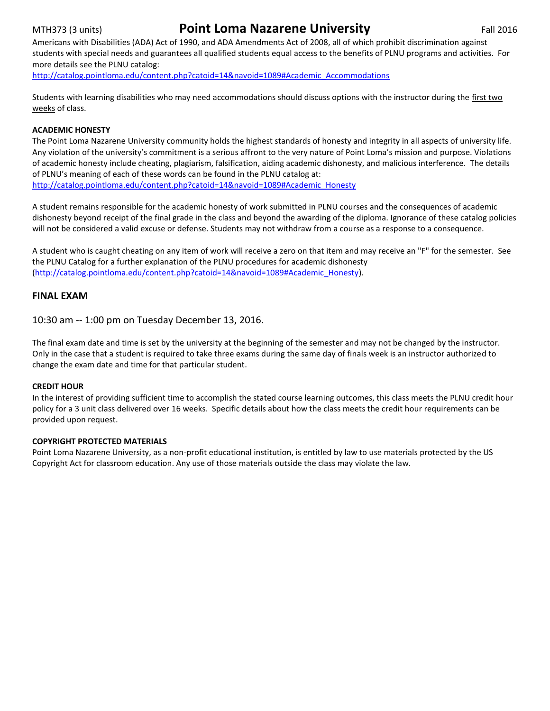## MTH373 (3 units) **Point Loma Nazarene University** Fall 2016

Americans with Disabilities (ADA) Act of 1990, and ADA Amendments Act of 2008, all of which prohibit discrimination against students with special needs and guarantees all qualified students equal access to the benefits of PLNU programs and activities. For more details see the PLNU catalog:

[http://catalog.pointloma.edu/content.php?catoid=14&navoid=1089#Academic\\_Accommodations](http://catalog.pointloma.edu/content.php?catoid=14&navoid=1089#Academic_Accommodations)

Students with learning disabilities who may need accommodations should discuss options with the instructor during the first two weeks of class.

#### **ACADEMIC HONESTY**

The Point Loma Nazarene University community holds the highest standards of honesty and integrity in all aspects of university life. Any violation of the university's commitment is a serious affront to the very nature of Point Loma's mission and purpose. Violations of academic honesty include cheating, plagiarism, falsification, aiding academic dishonesty, and malicious interference. The details of PLNU's meaning of each of these words can be found in the PLNU catalog at: [http://catalog.pointloma.edu/content.php?catoid=14&navoid=1089#Academic\\_Honesty](http://catalog.pointloma.edu/content.php?catoid=14&navoid=1089#Academic_Honesty)

A student remains responsible for the academic honesty of work submitted in PLNU courses and the consequences of academic dishonesty beyond receipt of the final grade in the class and beyond the awarding of the diploma. Ignorance of these catalog policies will not be considered a valid excuse or defense. Students may not withdraw from a course as a response to a consequence.

A student who is caught cheating on any item of work will receive a zero on that item and may receive an "F" for the semester. See the PLNU Catalog for a further explanation of the PLNU procedures for academic dishonesty [\(http://catalog.pointloma.edu/content.php?catoid=14&navoid=1089#Academic\\_Honesty\)](http://catalog.pointloma.edu/content.php?catoid=14&navoid=1089#Academic_Honesty).

### **FINAL EXAM**

10:30 am -- 1:00 pm on Tuesday December 13, 2016.

The final exam date and time is set by the university at the beginning of the semester and may not be changed by the instructor. Only in the case that a student is required to take three exams during the same day of finals week is an instructor authorized to change the exam date and time for that particular student.

#### **CREDIT HOUR**

In the interest of providing sufficient time to accomplish the stated course learning outcomes, this class meets the PLNU credit hour policy for a 3 unit class delivered over 16 weeks. Specific details about how the class meets the credit hour requirements can be provided upon request.

#### **COPYRIGHT PROTECTED MATERIALS**

Point Loma Nazarene University, as a non-profit educational institution, is entitled by law to use materials protected by the US Copyright Act for classroom education. Any use of those materials outside the class may violate the law.